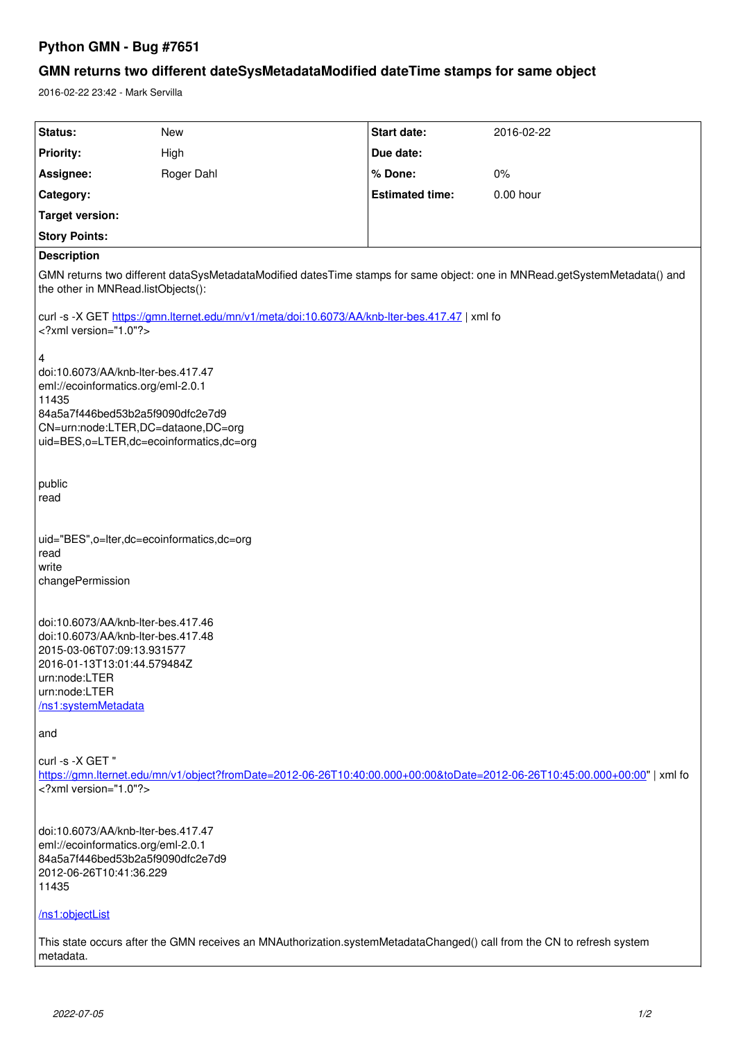# **Python GMN - Bug #7651**

# **GMN returns two different dateSysMetadataModified dateTime stamps for same object**

2016-02-22 23:42 - Mark Servilla

| Status:                                                                                                                                                                                                     | New        | Start date:            | 2016-02-22 |
|-------------------------------------------------------------------------------------------------------------------------------------------------------------------------------------------------------------|------------|------------------------|------------|
| <b>Priority:</b>                                                                                                                                                                                            | High       | Due date:              |            |
| Assignee:                                                                                                                                                                                                   | Roger Dahl | % Done:                | $0\%$      |
| Category:                                                                                                                                                                                                   |            | <b>Estimated time:</b> | 0.00 hour  |
| <b>Target version:</b>                                                                                                                                                                                      |            |                        |            |
| <b>Story Points:</b>                                                                                                                                                                                        |            |                        |            |
| <b>Description</b>                                                                                                                                                                                          |            |                        |            |
| GMN returns two different dataSysMetadataModified datesTime stamps for same object: one in MNRead.getSystemMetadata() and<br>the other in MNRead.listObjects():                                             |            |                        |            |
| curl -s -X GET https://gmn.lternet.edu/mn/v1/meta/doi:10.6073/AA/knb-lter-bes.417.47   xml fo<br>xml version="1.0"?                                                                                         |            |                        |            |
| 4<br>doi:10.6073/AA/knb-lter-bes.417.47<br>eml://ecoinformatics.org/eml-2.0.1<br>11435<br>84a5a7f446bed53b2a5f9090dfc2e7d9<br>CN=urn:node:LTER,DC=dataone,DC=org<br>uid=BES,o=LTER,dc=ecoinformatics,dc=org |            |                        |            |
| public<br>read                                                                                                                                                                                              |            |                        |            |
| uid="BES",o=lter,dc=ecoinformatics,dc=org<br>read<br>write<br>changePermission                                                                                                                              |            |                        |            |
| doi:10.6073/AA/knb-lter-bes.417.46<br>doi:10.6073/AA/knb-lter-bes.417.48<br>2015-03-06T07:09:13.931577<br>2016-01-13T13:01:44.579484Z<br>urn:node:LTER<br>urn:node:LTER<br>/ns1:systemMetadata              |            |                        |            |
| and                                                                                                                                                                                                         |            |                        |            |
| curl -s -X GET"<br>https://gmn.lternet.edu/mn/v1/object?fromDate=2012-06-26T10:40:00.000+00:00&toDate=2012-06-26T10:45:00.000+00:00"   xml fo<br>xml version="1.0"?                                         |            |                        |            |
| doi:10.6073/AA/knb-lter-bes.417.47<br>eml://ecoinformatics.org/eml-2.0.1<br>84a5a7f446bed53b2a5f9090dfc2e7d9<br>2012-06-26T10:41:36.229<br>11435                                                            |            |                        |            |
| /ns1:objectList                                                                                                                                                                                             |            |                        |            |
| This state occurs after the GMN receives an MNAuthorization.systemMetadataChanged() call from the CN to refresh system<br>metadata.                                                                         |            |                        |            |